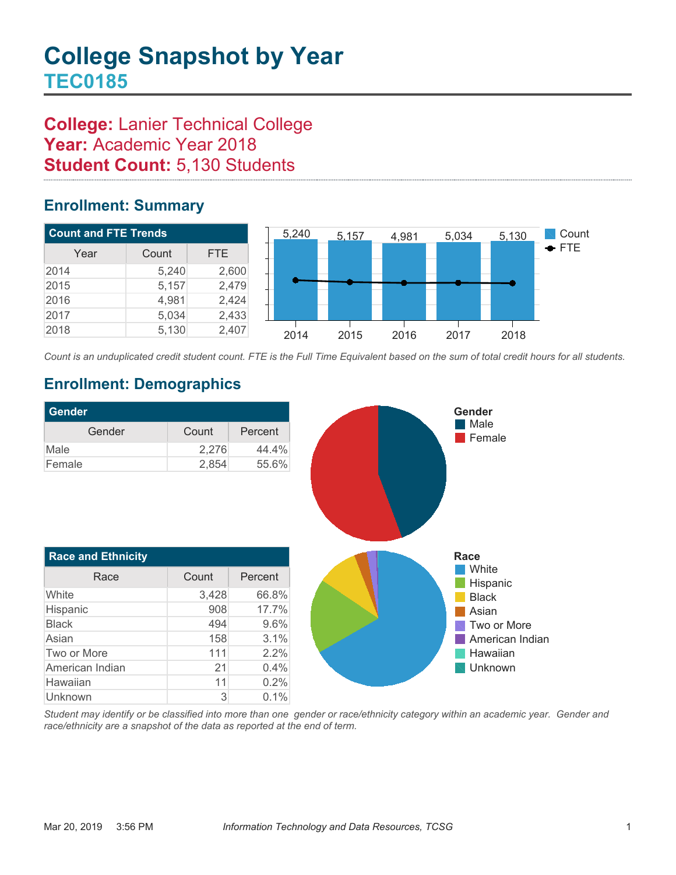# **College:** Lanier Technical College Year: Academic Year 2018 **Student Count:** 5,130 Students

### **Enrollment: Summary**



*Count is an unduplicated credit student count. FTE is the Full Time Equivalent based on the sum of total credit hours for all students.*

## **Enrollment: Demographics**

Unknown 3 0.1%

| <b>Gender</b>             |       |         |
|---------------------------|-------|---------|
| Gender                    | Count | Percent |
| Male                      | 2,276 | 44.4%   |
| Female                    | 2,854 | 55.6%   |
|                           |       |         |
| <b>Race and Ethnicity</b> |       |         |
| Race                      | Count | Percent |
| White                     | 3,428 | 66.8%   |
| Hispanic                  | 908   | 17.7%   |
| <b>Black</b>              | 494   | 9.6%    |
| Asian                     | 158   | 3.1%    |
| Two or More               | 111   | 2.2%    |
| American Indian           | 21    | 0.4%    |
| Hawaiian                  | 11    | 0.2%    |

*Student may identify or be classified into more than one gender or race/ethnicity category within an academic year. Gender and race/ethnicity are a snapshot of the data as reported at the end of term.*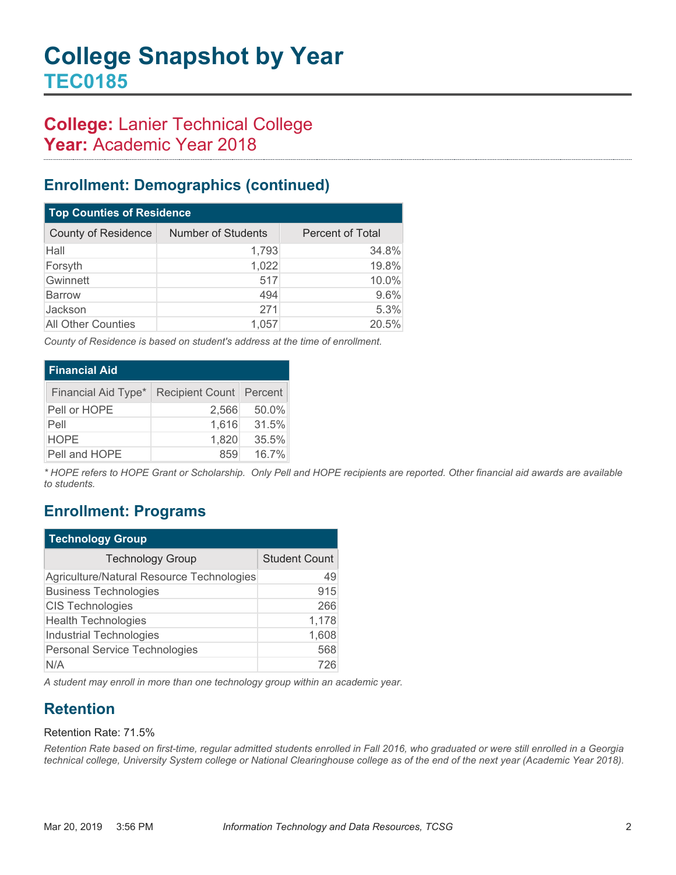# **College:** Lanier Technical College Year: Academic Year 2018

### **Enrollment: Demographics (continued)**

| <b>Top Counties of Residence</b> |                           |                         |  |  |
|----------------------------------|---------------------------|-------------------------|--|--|
| <b>County of Residence</b>       | <b>Number of Students</b> | <b>Percent of Total</b> |  |  |
| Hall                             | 1,793                     | 34.8%                   |  |  |
| Forsyth                          | 1,022                     | 19.8%                   |  |  |
| Gwinnett                         | 517                       | 10.0%                   |  |  |
| Barrow                           | 494                       | 9.6%                    |  |  |
| Jackson                          | 271                       | 5.3%                    |  |  |
| <b>All Other Counties</b>        | 1.057                     | 20.5%                   |  |  |

*County of Residence is based on student's address at the time of enrollment.*

| <b>Financial Aid</b> |                           |       |  |  |
|----------------------|---------------------------|-------|--|--|
| Financial Aid Type*  | Recipient Count   Percent |       |  |  |
| Pell or HOPE         | 2,566                     | 50.0% |  |  |
| Pell                 | 1,616                     | 31.5% |  |  |
| <b>HOPE</b>          | 1,820                     | 35.5% |  |  |
| Pell and HOPE        | 859                       | 16.7% |  |  |

*\* HOPE refers to HOPE Grant or Scholarship. Only Pell and HOPE recipients are reported. Other financial aid awards are available to students.*

### **Enrollment: Programs**

| <b>Technology Group</b>                   |                      |  |  |
|-------------------------------------------|----------------------|--|--|
| <b>Technology Group</b>                   | <b>Student Count</b> |  |  |
| Agriculture/Natural Resource Technologies | 49                   |  |  |
| <b>Business Technologies</b>              | 915                  |  |  |
| <b>CIS Technologies</b>                   | 266                  |  |  |
| <b>Health Technologies</b>                | 1,178                |  |  |
| <b>Industrial Technologies</b>            | 1,608                |  |  |
| Personal Service Technologies             | 568                  |  |  |
| N/A                                       | 726                  |  |  |

*A student may enroll in more than one technology group within an academic year.*

## **Retention**

#### Retention Rate: 71.5%

*Retention Rate based on first-time, regular admitted students enrolled in Fall 2016*, who graduated or were still enrolled in a Georgia *technical college, University System college or National Clearinghouse college as of the end of the next year (Academic Year 2018).*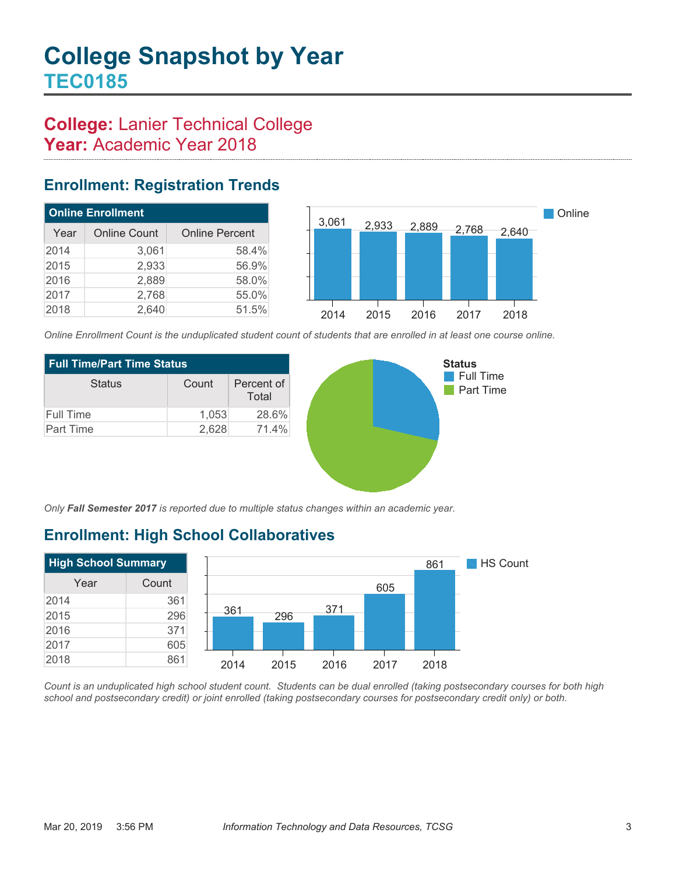## **College:** Lanier Technical College Year: Academic Year 2018

### **Enrollment: Registration Trends**

| <b>Online Enrollment</b> |                     |                       |  |  |
|--------------------------|---------------------|-----------------------|--|--|
| Year                     | <b>Online Count</b> | <b>Online Percent</b> |  |  |
| 2014                     | 3,061               | 58.4%                 |  |  |
| 2015                     | 2,933               | 56.9%                 |  |  |
| 2016                     | 2,889               | 58.0%                 |  |  |
| 2017                     | 2,768               | 55.0%                 |  |  |
| 2018                     | 2,640               | 51.5%                 |  |  |



*Online Enrollment Count is the unduplicated student count of students that are enrolled in at least one course online.*

| <b>Full Time/Part Time Status</b> |       |                     |  |  |
|-----------------------------------|-------|---------------------|--|--|
| <b>Status</b>                     | Count | Percent of<br>Total |  |  |
| Full Time                         | 1,053 | 28.6%               |  |  |
| <b>Part Time</b>                  | 2,628 | 71.4%               |  |  |



*Only Fall Semester 2017 is reported due to multiple status changes within an academic year.*

# **Enrollment: High School Collaboratives**



*Count is an unduplicated high school student count. Students can be dual enrolled (taking postsecondary courses for both high school and postsecondary credit) or joint enrolled (taking postsecondary courses for postsecondary credit only) or both.*